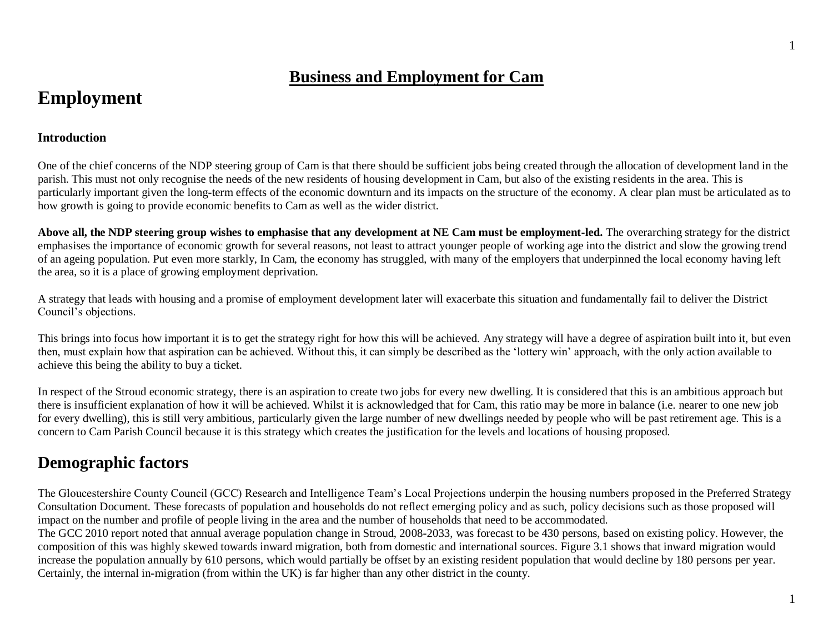# **Business and Employment for Cam**

# **Employment**

#### **Introduction**

One of the chief concerns of the NDP steering group of Cam is that there should be sufficient jobs being created through the allocation of development land in the parish. This must not only recognise the needs of the new residents of housing development in Cam, but also of the existing residents in the area. This is particularly important given the long-term effects of the economic downturn and its impacts on the structure of the economy. A clear plan must be articulated as to how growth is going to provide economic benefits to Cam as well as the wider district.

**Above all, the NDP steering group wishes to emphasise that any development at NE Cam must be employment-led.** The overarching strategy for the district emphasises the importance of economic growth for several reasons, not least to attract younger people of working age into the district and slow the growing trend of an ageing population. Put even more starkly, In Cam, the economy has struggled, with many of the employers that underpinned the local economy having left the area, so it is a place of growing employment deprivation.

A strategy that leads with housing and a promise of employment development later will exacerbate this situation and fundamentally fail to deliver the District Council's objections.

This brings into focus how important it is to get the strategy right for how this will be achieved. Any strategy will have a degree of aspiration built into it, but even then, must explain how that aspiration can be achieved. Without this, it can simply be described as the 'lottery win' approach, with the only action available to achieve this being the ability to buy a ticket.

In respect of the Stroud economic strategy, there is an aspiration to create two jobs for every new dwelling. It is considered that this is an ambitious approach but there is insufficient explanation of how it will be achieved. Whilst it is acknowledged that for Cam, this ratio may be more in balance (i.e. nearer to one new job for every dwelling), this is still very ambitious, particularly given the large number of new dwellings needed by people who will be past retirement age. This is a concern to Cam Parish Council because it is this strategy which creates the justification for the levels and locations of housing proposed.

# **Demographic factors**

The Gloucestershire County Council (GCC) Research and Intelligence Team's Local Projections underpin the housing numbers proposed in the Preferred Strategy Consultation Document. These forecasts of population and households do not reflect emerging policy and as such, policy decisions such as those proposed will impact on the number and profile of people living in the area and the number of households that need to be accommodated.

The GCC 2010 report noted that annual average population change in Stroud, 2008-2033, was forecast to be 430 persons, based on existing policy. However, the composition of this was highly skewed towards inward migration, both from domestic and international sources. Figure 3.1 shows that inward migration would increase the population annually by 610 persons, which would partially be offset by an existing resident population that would decline by 180 persons per year. Certainly, the internal in-migration (from within the UK) is far higher than any other district in the county.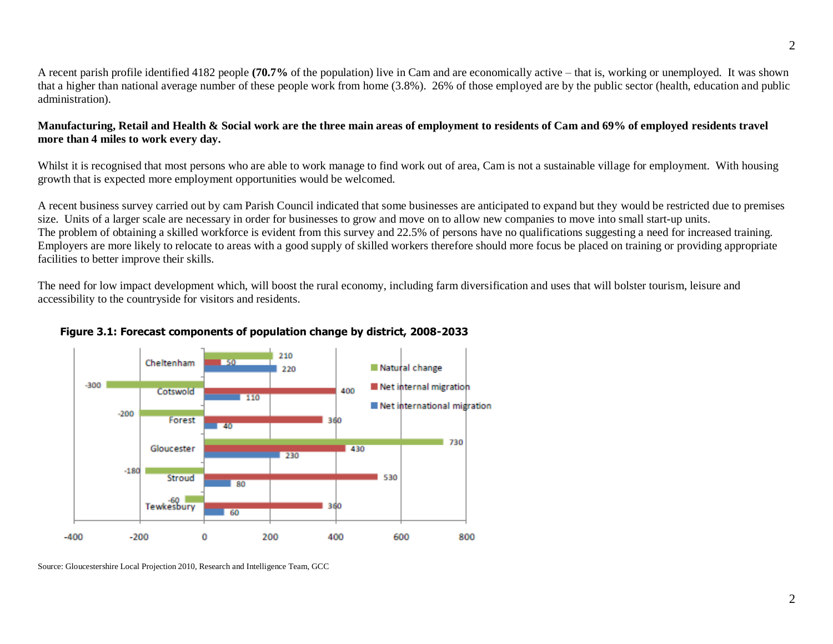A recent parish profile identified 4182 people **(70.7%** of the population) live in Cam and are economically active – that is, working or unemployed. It was shown that a higher than national average number of these people work from home (3.8%). 26% of those employed are by the public sector (health, education and public administration).

#### **Manufacturing, Retail and Health & Social work are the three main areas of employment to residents of Cam and 69% of employed residents travel more than 4 miles to work every day.**

Whilst it is recognised that most persons who are able to work manage to find work out of area, Cam is not a sustainable village for employment. With housing growth that is expected more employment opportunities would be welcomed.

A recent business survey carried out by cam Parish Council indicated that some businesses are anticipated to expand but they would be restricted due to premises size. Units of a larger scale are necessary in order for businesses to grow and move on to allow new companies to move into small start-up units. The problem of obtaining a skilled workforce is evident from this survey and 22.5% of persons have no qualifications suggesting a need for increased training. Employers are more likely to relocate to areas with a good supply of skilled workers therefore should more focus be placed on training or providing appropriate facilities to better improve their skills.

The need for low impact development which, will boost the rural economy, including farm diversification and uses that will bolster tourism, leisure and accessibility to the countryside for visitors and residents.



#### **Figure 3.1: Forecast components of population change by district, 2008-2033**

Source: Gloucestershire Local Projection 2010, Research and Intelligence Team, GCC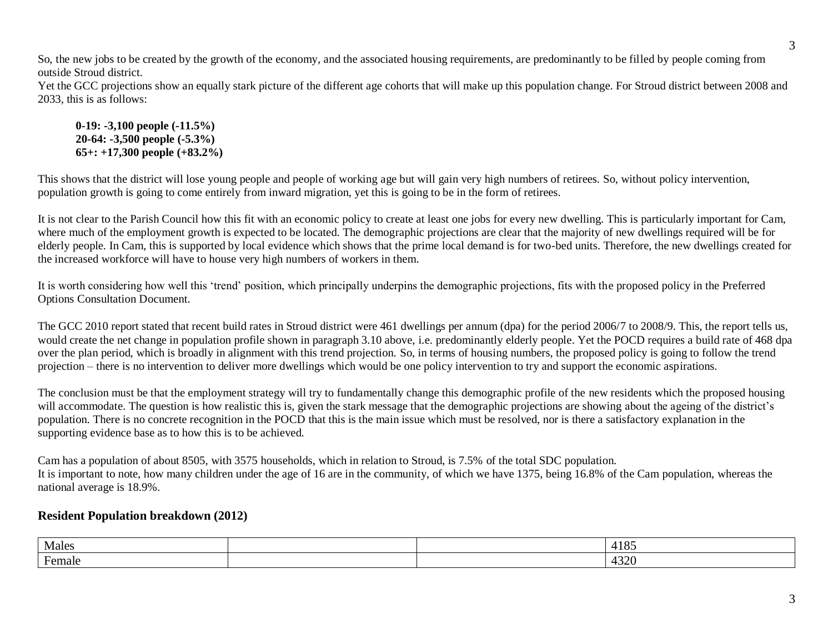So, the new jobs to be created by the growth of the economy, and the associated housing requirements, are predominantly to be filled by people coming from outside Stroud district.

Yet the GCC projections show an equally stark picture of the different age cohorts that will make up this population change. For Stroud district between 2008 and 2033, this is as follows:

**0-19: -3,100 people (-11.5%) 20-64: -3,500 people (-5.3%) 65+: +17,300 people (+83.2%)**

This shows that the district will lose young people and people of working age but will gain very high numbers of retirees. So, without policy intervention, population growth is going to come entirely from inward migration, yet this is going to be in the form of retirees.

It is not clear to the Parish Council how this fit with an economic policy to create at least one jobs for every new dwelling. This is particularly important for Cam, where much of the employment growth is expected to be located. The demographic projections are clear that the majority of new dwellings required will be for elderly people. In Cam, this is supported by local evidence which shows that the prime local demand is for two-bed units. Therefore, the new dwellings created for the increased workforce will have to house very high numbers of workers in them.

It is worth considering how well this 'trend' position, which principally underpins the demographic projections, fits with the proposed policy in the Preferred Options Consultation Document.

The GCC 2010 report stated that recent build rates in Stroud district were 461 dwellings per annum (dpa) for the period 2006/7 to 2008/9. This, the report tells us, would create the net change in population profile shown in paragraph 3.10 above, i.e. predominantly elderly people. Yet the POCD requires a build rate of 468 dpa over the plan period, which is broadly in alignment with this trend projection. So, in terms of housing numbers, the proposed policy is going to follow the trend projection – there is no intervention to deliver more dwellings which would be one policy intervention to try and support the economic aspirations.

The conclusion must be that the employment strategy will try to fundamentally change this demographic profile of the new residents which the proposed housing will accommodate. The question is how realistic this is, given the stark message that the demographic projections are showing about the ageing of the district's population. There is no concrete recognition in the POCD that this is the main issue which must be resolved, nor is there a satisfactory explanation in the supporting evidence base as to how this is to be achieved.

Cam has a population of about 8505, with 3575 households, which in relation to Stroud, is 7.5% of the total SDC population. It is important to note, how many children under the age of 16 are in the community, of which we have 1375, being 16.8% of the Cam population, whereas the national average is 18.9%.

### **Resident Population breakdown (2012)**

| Males                    |  | 4185                                     |
|--------------------------|--|------------------------------------------|
| $\blacksquare$<br>Female |  | 1220<br>$\overline{\phantom{a}}$<br>πυ∠∪ |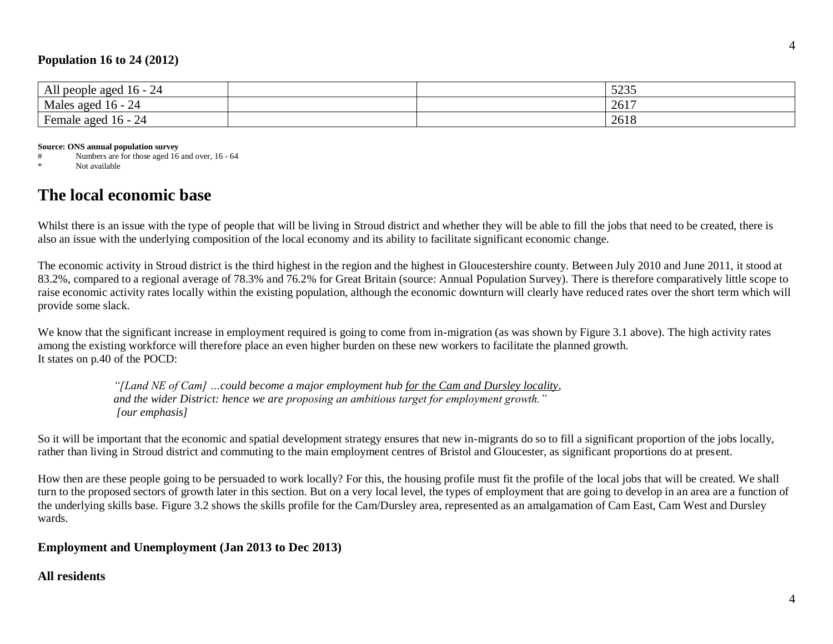### **Population 16 to 24 (2012)**

| .<br>All<br>people aged<br>$n -$<br>- 24<br>. .                        |  | $\Gamma$<br>ر رے ر                                                     |
|------------------------------------------------------------------------|--|------------------------------------------------------------------------|
| ЪÆ.<br>⌒<br>aged s<br>$16 -$<br>Males<br>-24                           |  | $\bigwedge$ $\bigwedge$ $\bigwedge$<br>$\overline{\phantom{a}}$<br>201 |
| $\mathbf{r}$<br>aged<br>⊣an<br> ი -<br>remale<br>$\Delta^{\mathbf{H}}$ |  | $\sim$ 1 $\epsilon$<br>2018                                            |

**Source: ONS annual population survey**

# Numbers are for those aged 16 and over, 16 - 64

\* Not available

# **The local economic base**

Whilst there is an issue with the type of people that will be living in Stroud district and whether they will be able to fill the jobs that need to be created, there is also an issue with the underlying composition of the local economy and its ability to facilitate significant economic change.

The economic activity in Stroud district is the third highest in the region and the highest in Gloucestershire county. Between July 2010 and June 2011, it stood at 83.2%, compared to a regional average of 78.3% and 76.2% for Great Britain (source: Annual Population Survey). There is therefore comparatively little scope to raise economic activity rates locally within the existing population, although the economic downturn will clearly have reduced rates over the short term which will provide some slack.

We know that the significant increase in employment required is going to come from in-migration (as was shown by Figure 3.1 above). The high activity rates among the existing workforce will therefore place an even higher burden on these new workers to facilitate the planned growth. It states on p.40 of the POCD:

> *"[Land NE of Cam] …could become a major employment hub for the Cam and Dursley locality, and the wider District: hence we are proposing an ambitious target for employment growth." [our emphasis]*

So it will be important that the economic and spatial development strategy ensures that new in-migrants do so to fill a significant proportion of the jobs locally, rather than living in Stroud district and commuting to the main employment centres of Bristol and Gloucester, as significant proportions do at present.

How then are these people going to be persuaded to work locally? For this, the housing profile must fit the profile of the local jobs that will be created. We shall turn to the proposed sectors of growth later in this section. But on a very local level, the types of employment that are going to develop in an area are a function of the underlying skills base. Figure 3.2 shows the skills profile for the Cam/Dursley area, represented as an amalgamation of Cam East, Cam West and Dursley wards.

### **Employment and Unemployment (Jan 2013 to Dec 2013)**

### **All residents**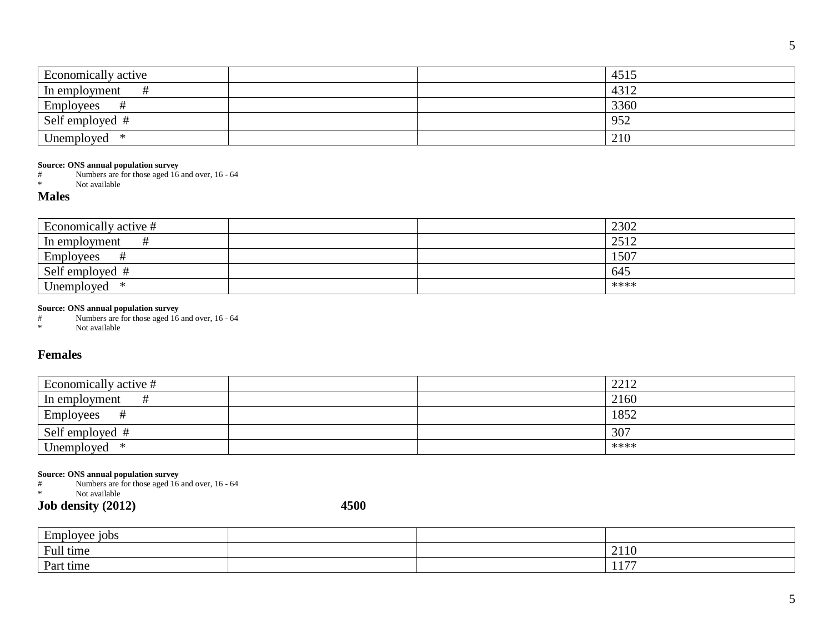| Economically active                                                                                                                                  |      | 4515     |
|------------------------------------------------------------------------------------------------------------------------------------------------------|------|----------|
| $\#$<br>In employment                                                                                                                                |      | 4312     |
| $\#$<br>Employees                                                                                                                                    |      | 3360     |
| Self employed #                                                                                                                                      |      | 952      |
| Unemployed<br>$\ast$                                                                                                                                 |      | 210      |
| Source: ONS annual population survey<br>Numbers are for those aged 16 and over, 16 - 64<br>#<br>Not available<br>$\ast$<br><b>Males</b>              |      |          |
| Economically active #                                                                                                                                |      | 2302     |
| $\#$<br>In employment                                                                                                                                |      | 2512     |
| $\#$<br>Employees                                                                                                                                    |      | 1507     |
| Self employed #                                                                                                                                      |      | 645      |
| $\ast$<br>Unemployed                                                                                                                                 |      | ****     |
| <b>Females</b>                                                                                                                                       |      |          |
| Economically active #                                                                                                                                |      | 2212     |
| $\#$<br>In employment                                                                                                                                |      | 2160     |
| $\#$<br>Employees                                                                                                                                    |      | 1852     |
| Self employed #                                                                                                                                      |      | 307      |
| $\ast$<br>Unemployed                                                                                                                                 |      | ****     |
| Source: ONS annual population survey<br>Numbers are for those aged 16 and over, 16 - 64<br>#<br>Not available<br>$\frac{1}{2}$<br>Job density (2012) | 4500 |          |
| Employee jobs                                                                                                                                        |      |          |
| Full time                                                                                                                                            |      | $2110\,$ |
| Part time                                                                                                                                            |      | 1177     |
|                                                                                                                                                      |      |          |

#### **Source: ONS annual population survey**

#### **Males**

| Economically active #        |  | 2302 |
|------------------------------|--|------|
| In employment                |  | 2512 |
| Employees                    |  | 1507 |
| Self employed #              |  | 645  |
| <b>TT</b><br>∗<br>Unemployed |  | **** |

#### **Source: ONS annual population survey**

### **Females**

| Economically active # | 2212 |
|-----------------------|------|
| In employment         | 2160 |
| <b>Employees</b>      | 1852 |
| Self employed #       | 307  |
| Unemployed<br>*       | **** |

# **Source: ONS annual population survey**<br> **#** Numbers are for those aged 16

| Employee<br>e 10bs |  |                             |
|--------------------|--|-----------------------------|
| Full time          |  | 2110                        |
| Part time          |  | 1.77<br><b>A A</b> <i>I</i> |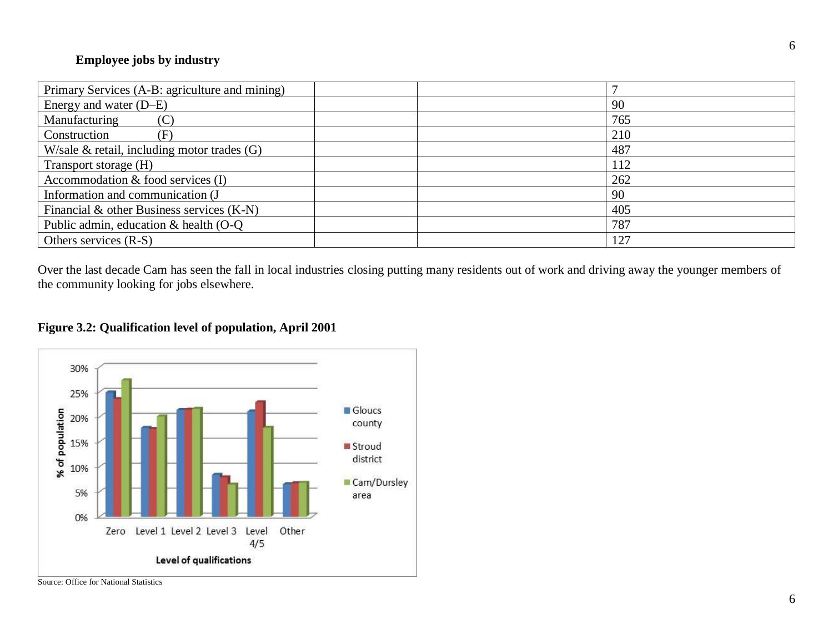### **Employee jobs by industry**

| Primary Services (A-B: agriculture and mining) |     |
|------------------------------------------------|-----|
| Energy and water (D–E)                         | 90  |
| Manufacturing<br>$(\mathbf{C})$                | 765 |
| Construction<br>(F                             | 210 |
| W/sale $\&$ retail, including motor trades (G) | 487 |
| Transport storage (H)                          | 112 |
| Accommodation $&$ food services (I)            | 262 |
| Information and communication (J               | 90  |
| Financial & other Business services $(K-N)$    | 405 |
| Public admin, education & health (O-Q)         | 787 |
| Others services $(R-S)$                        | 127 |

Over the last decade Cam has seen the fall in local industries closing putting many residents out of work and driving away the younger members of the community looking for jobs elsewhere.

## **Figure 3.2: Qualification level of population, April 2001**



Source: Office for National Statistics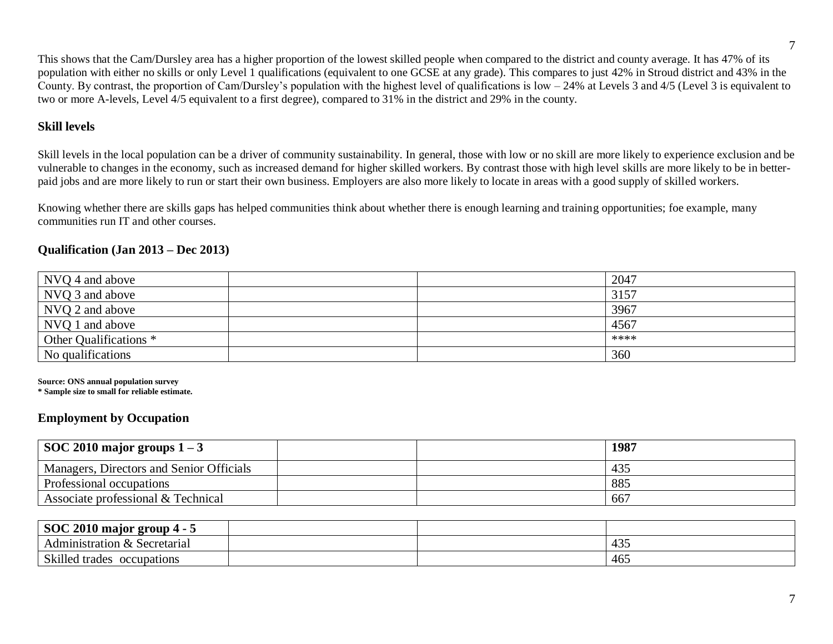This shows that the Cam/Dursley area has a higher proportion of the lowest skilled people when compared to the district and county average. It has 47% of its population with either no skills or only Level 1 qualifications (equivalent to one GCSE at any grade). This compares to just 42% in Stroud district and 43% in the County. By contrast, the proportion of Cam/Dursley's population with the highest level of qualifications is low – 24% at Levels 3 and 4/5 (Level 3 is equivalent to two or more A-levels, Level 4/5 equivalent to a first degree), compared to 31% in the district and 29% in the county.

### **Skill levels**

Skill levels in the local population can be a driver of community sustainability. In general, those with low or no skill are more likely to experience exclusion and be vulnerable to changes in the economy, such as increased demand for higher skilled workers. By contrast those with high level skills are more likely to be in betterpaid jobs and are more likely to run or start their own business. Employers are also more likely to locate in areas with a good supply of skilled workers.

Knowing whether there are skills gaps has helped communities think about whether there is enough learning and training opportunities; foe example, many communities run IT and other courses.

### **Qualification (Jan 2013 – Dec 2013)**

| NVQ 4 and above        |  | 2047 |
|------------------------|--|------|
| NVQ 3 and above        |  | 3157 |
| NVQ 2 and above        |  | 3967 |
| NVQ 1 and above        |  | 4567 |
| Other Qualifications * |  | **** |
| No qualifications      |  | 360  |

**Source: ONS annual population survey**

**\* Sample size to small for reliable estimate.**

## **Employment by Occupation**

| $+$ SOC 2010 major groups $1-3$          |  | 1987 |
|------------------------------------------|--|------|
| Managers, Directors and Senior Officials |  | 435  |
| Professional occupations                 |  | 885  |
| Associate professional & Technical       |  | 667  |

| SOC 2010 major<br>° group 4 -    |  |                          |
|----------------------------------|--|--------------------------|
| Administration &<br>Secretarial  |  | 10 <sub>5</sub><br>$+5.$ |
| Skilled<br>occupations<br>trades |  | $\sim$ $\sim$<br>465     |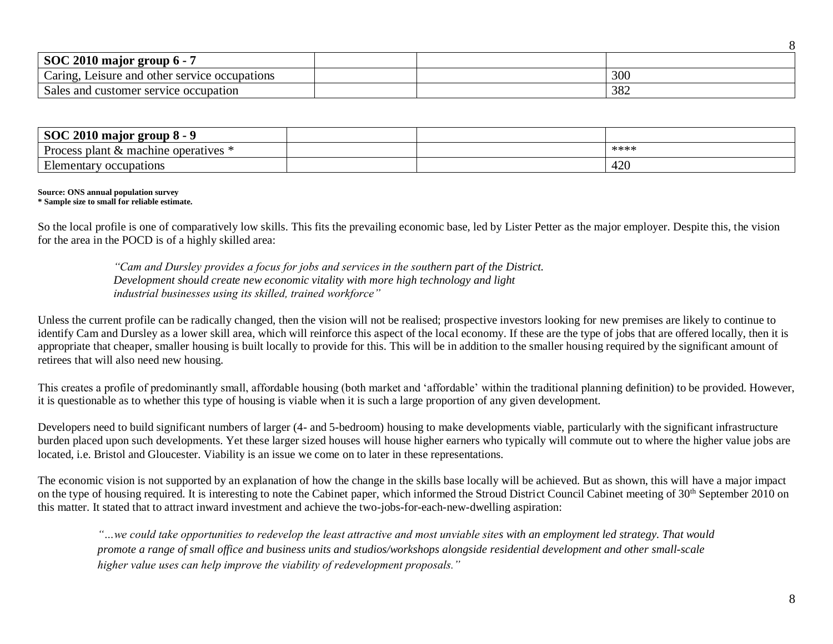| SOC 2010 major group 6 - 7                    |  |     |
|-----------------------------------------------|--|-----|
| Caring, Leisure and other service occupations |  | 300 |
| Sales and customer service occupation         |  | 382 |

| $SOC 2010$ major group $8 - 9$                  |  |      |
|-------------------------------------------------|--|------|
| Process<br>s plant $\&$ machine operatives      |  | **** |
| $\Gamma$ 1<br>occupations<br><i>E</i> lementary |  | 420  |

#### **Source: ONS annual population survey**

#### **\* Sample size to small for reliable estimate.**

So the local profile is one of comparatively low skills. This fits the prevailing economic base, led by Lister Petter as the major employer. Despite this, the vision for the area in the POCD is of a highly skilled area:

> *"Cam and Dursley provides a focus for jobs and services in the southern part of the District. Development should create new economic vitality with more high technology and light industrial businesses using its skilled, trained workforce"*

Unless the current profile can be radically changed, then the vision will not be realised; prospective investors looking for new premises are likely to continue to identify Cam and Dursley as a lower skill area, which will reinforce this aspect of the local economy. If these are the type of jobs that are offered locally, then it is appropriate that cheaper, smaller housing is built locally to provide for this. This will be in addition to the smaller housing required by the significant amount of retirees that will also need new housing.

This creates a profile of predominantly small, affordable housing (both market and 'affordable' within the traditional planning definition) to be provided. However, it is questionable as to whether this type of housing is viable when it is such a large proportion of any given development.

Developers need to build significant numbers of larger (4- and 5-bedroom) housing to make developments viable, particularly with the significant infrastructure burden placed upon such developments. Yet these larger sized houses will house higher earners who typically will commute out to where the higher value jobs are located, i.e. Bristol and Gloucester. Viability is an issue we come on to later in these representations.

The economic vision is not supported by an explanation of how the change in the skills base locally will be achieved. But as shown, this will have a major impact on the type of housing required. It is interesting to note the Cabinet paper, which informed the Stroud District Council Cabinet meeting of 30<sup>th</sup> September 2010 on this matter. It stated that to attract inward investment and achieve the two-jobs-for-each-new-dwelling aspiration:

*"…we could take opportunities to redevelop the least attractive and most unviable sites with an employment led strategy. That would promote a range of small office and business units and studios/workshops alongside residential development and other small-scale higher value uses can help improve the viability of redevelopment proposals."*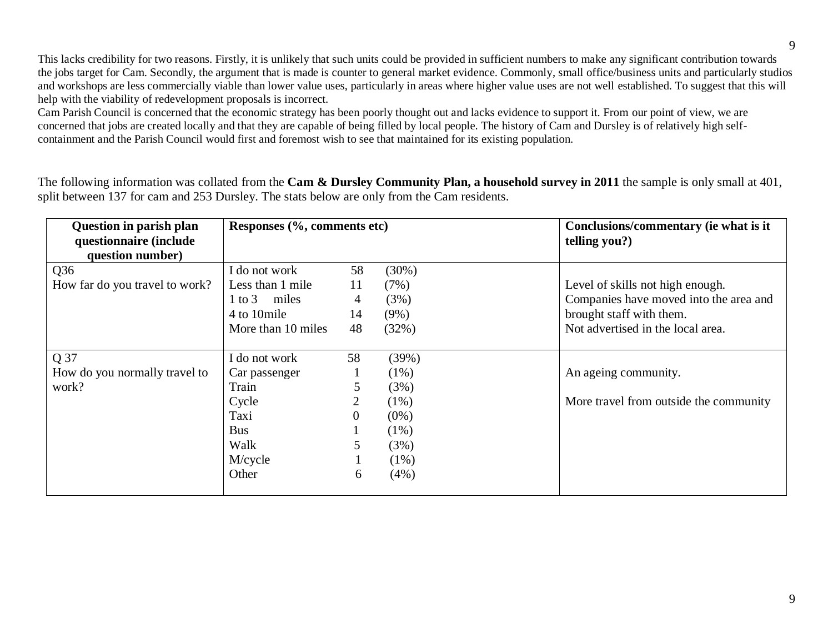This lacks credibility for two reasons. Firstly, it is unlikely that such units could be provided in sufficient numbers to make any significant contribution towards the jobs target for Cam. Secondly, the argument that is made is counter to general market evidence. Commonly, small office/business units and particularly studios and workshops are less commercially viable than lower value uses, particularly in areas where higher value uses are not well established. To suggest that this will help with the viability of redevelopment proposals is incorrect.

Cam Parish Council is concerned that the economic strategy has been poorly thought out and lacks evidence to support it. From our point of view, we are concerned that jobs are created locally and that they are capable of being filled by local people. The history of Cam and Dursley is of relatively high selfcontainment and the Parish Council would first and foremost wish to see that maintained for its existing population.

The following information was collated from the **Cam & Dursley Community Plan, a household survey in 2011** the sample is only small at 401, split between 137 for cam and 253 Dursley. The stats below are only from the Cam residents.

| <b>Question in parish plan</b><br>questionnaire (include<br>question number) | Responses (%, comments etc)                                                                        |                                        |                                                                                      | Conclusions/commentary (ie what is it<br>telling you?)                                                                                      |
|------------------------------------------------------------------------------|----------------------------------------------------------------------------------------------------|----------------------------------------|--------------------------------------------------------------------------------------|---------------------------------------------------------------------------------------------------------------------------------------------|
| Q <sub>36</sub><br>How far do you travel to work?                            | I do not work<br>Less than 1 mile<br>1 to 3 miles<br>4 to 10 mile<br>More than 10 miles            | 58<br>11<br>$\overline{4}$<br>14<br>48 | (30%)<br>(7%)<br>(3%)<br>$(9\%)$<br>(32%)                                            | Level of skills not high enough.<br>Companies have moved into the area and<br>brought staff with them.<br>Not advertised in the local area. |
| Q 37<br>How do you normally travel to<br>work?                               | I do not work<br>Car passenger<br>Train<br>Cycle<br>Taxi<br><b>Bus</b><br>Walk<br>M/cycle<br>Other | 58<br>5<br>$\overline{0}$<br>5<br>6    | (39%)<br>$(1\%)$<br>(3%)<br>$(1\%)$<br>$(0\%)$<br>$(1\%)$<br>(3%)<br>$(1\%)$<br>(4%) | An ageing community.<br>More travel from outside the community                                                                              |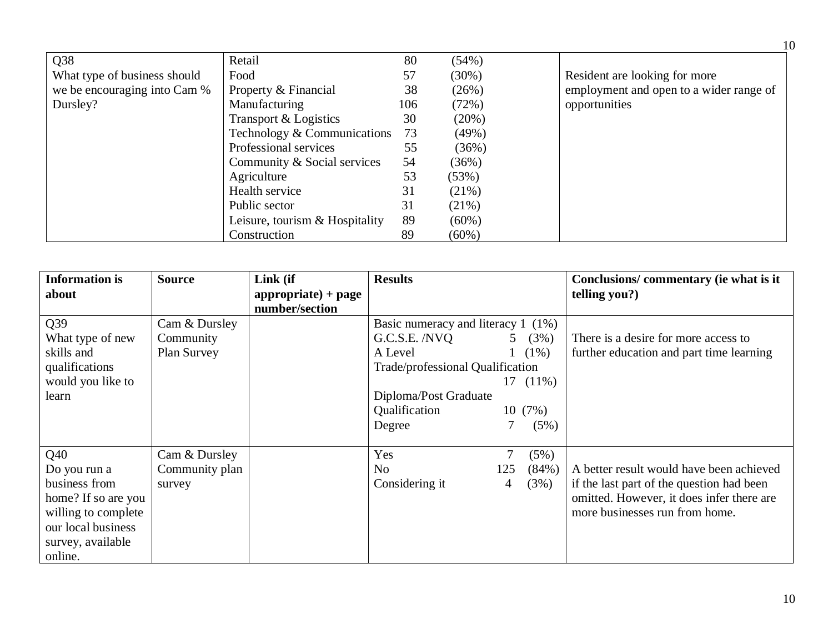|                              |                                |     |          | 10                                      |
|------------------------------|--------------------------------|-----|----------|-----------------------------------------|
| Q38                          | Retail                         | 80  | (54%)    |                                         |
| What type of business should | Food                           | 57  | $(30\%)$ | Resident are looking for more           |
| we be encouraging into Cam % | Property & Financial           | 38  | (26%)    | employment and open to a wider range of |
| Dursley?                     | Manufacturing                  | 106 | (72%)    | opportunities                           |
|                              | Transport & Logistics          | 30  | (20%)    |                                         |
|                              | Technology & Communications    | 73  | (49%)    |                                         |
|                              | Professional services          | 55  | (36%)    |                                         |
|                              | Community & Social services    | 54  | (36%)    |                                         |
|                              | Agriculture                    | 53  | (53%)    |                                         |
|                              | Health service                 | 31  | (21%)    |                                         |
|                              | Public sector                  | 31  | (21%)    |                                         |
|                              | Leisure, tourism & Hospitality | 89  | $(60\%)$ |                                         |
|                              | Construction                   | 89  | $(60\%)$ |                                         |

| <b>Information is</b><br>about | <b>Source</b>      | Link (if<br>$\text{appropriate}$ + page | <b>Results</b>                          |                |          | Conclusions/commentary (ie what is it<br>telling you?) |
|--------------------------------|--------------------|-----------------------------------------|-----------------------------------------|----------------|----------|--------------------------------------------------------|
|                                |                    | number/section                          |                                         |                |          |                                                        |
| Q <sub>39</sub>                | Cam & Dursley      |                                         | Basic numeracy and literacy $1 \ (1\%)$ |                |          |                                                        |
| What type of new               | Community          |                                         | G.C.S.E. /NVQ                           | 5 <sup>1</sup> | (3%)     | There is a desire for more access to                   |
| skills and                     | <b>Plan Survey</b> |                                         | A Level                                 |                | $1(1\%)$ | further education and part time learning               |
| qualifications                 |                    |                                         | Trade/professional Qualification        |                |          |                                                        |
| would you like to              |                    |                                         |                                         | 17             | $(11\%)$ |                                                        |
| learn                          |                    |                                         | Diploma/Post Graduate                   |                |          |                                                        |
|                                |                    |                                         | Qualification                           |                | 10(7%)   |                                                        |
|                                |                    |                                         | Degree                                  |                | (5%)     |                                                        |
| Q40                            | Cam & Dursley      |                                         | Yes                                     | 7              | (5%)     |                                                        |
| Do you run a                   | Community plan     |                                         | N <sub>o</sub>                          | 125            | (84%)    | A better result would have been achieved               |
| business from                  | survey             |                                         | Considering it                          | 4              | (3%)     | if the last part of the question had been              |
| home? If so are you            |                    |                                         |                                         |                |          | omitted. However, it does infer there are              |
| willing to complete            |                    |                                         |                                         |                |          | more businesses run from home.                         |
| our local business             |                    |                                         |                                         |                |          |                                                        |
| survey, available              |                    |                                         |                                         |                |          |                                                        |
| online.                        |                    |                                         |                                         |                |          |                                                        |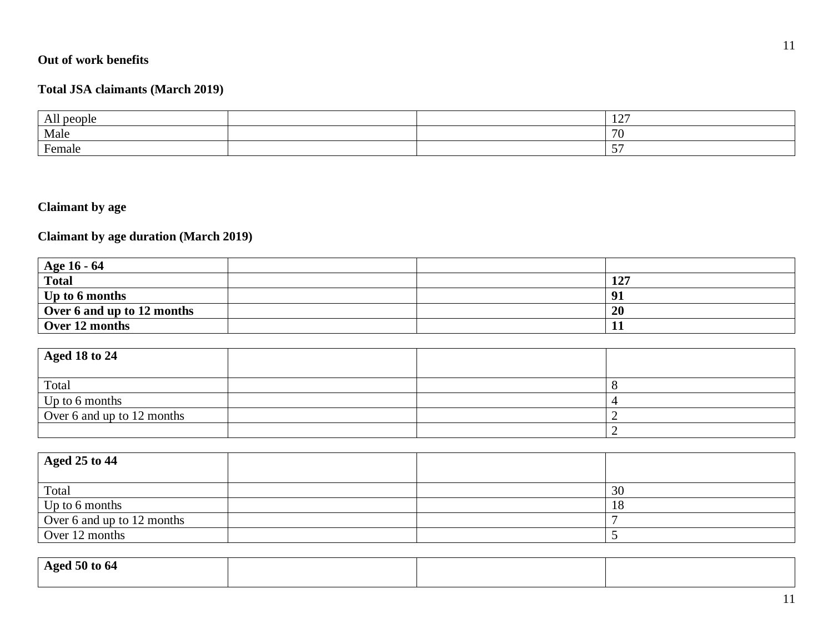# **Out of work benefits**

#### **Total JSA claimants (March 201 9 )**

| All<br>people |  | 107<br>$\overline{1}$ |
|---------------|--|-----------------------|
| Male          |  | 7C                    |
| Female        |  | $-$<br>ັ              |

# **Claimant by age**

#### **Claimant by age duration (March 201 9 )**

| Age 16 - 64                |  |     |
|----------------------------|--|-----|
| <b>Total</b>               |  | 127 |
| Up to 6 months             |  | Q.  |
| Over 6 and up to 12 months |  | 20  |
| Over 12 months             |  |     |

| <b>Aged 18 to 24</b>       |  |  |
|----------------------------|--|--|
|                            |  |  |
| Total                      |  |  |
| Up to 6 months             |  |  |
| Over 6 and up to 12 months |  |  |
|                            |  |  |

| Aged 25 to 44              |  |    |
|----------------------------|--|----|
| Total                      |  | 30 |
| Up to 6 months             |  | 18 |
| Over 6 and up to 12 months |  |    |
| Over 12 months             |  |    |

| <b>Aged 50 to 64</b> |  |  |
|----------------------|--|--|
|                      |  |  |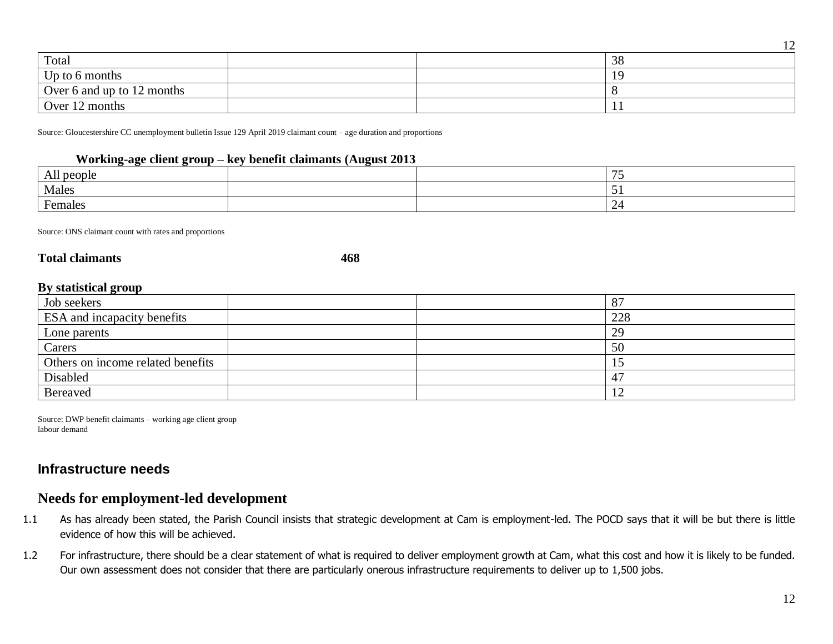| Total                      |  | 38  |
|----------------------------|--|-----|
| Up to 6 months             |  |     |
| Over 6 and up to 12 months |  |     |
| Over 12 months             |  | . . |

Source: Gloucestershire CC unemployment bulletin Issue 129 April 2019 claimant count – age duration and proportions

#### **Working-age client group – key benefit claimants (August 2013**

| All<br>people |  | $-$ |
|---------------|--|-----|
| Males         |  | .   |
| Females       |  |     |

Source: ONS claimant count with rates and proportions

#### **Total claimants 468**

#### **By statistical group**

| Job seekers                       | $8^{\circ}$ |
|-----------------------------------|-------------|
| ESA and incapacity benefits       | 228         |
| Lone parents                      | 29          |
| Carers                            | 50          |
| Others on income related benefits |             |
| Disabled                          | 41          |
| <b>Bereaved</b>                   | ┸           |

Source: DWP benefit claimants – working age client group labour demand

# **Infrastructure needs**

## **Needs for employment-led development**

- 1.1 As has already been stated, the Parish Council insists that strategic development at Cam is employment-led. The POCD says that it will be but there is little evidence of how this will be achieved.
- 1.2 For infrastructure, there should be a clear statement of what is required to deliver employment growth at Cam, what this cost and how it is likely to be funded. Our own assessment does not consider that there are particularly onerous infrastructure requirements to deliver up to 1,500 jobs.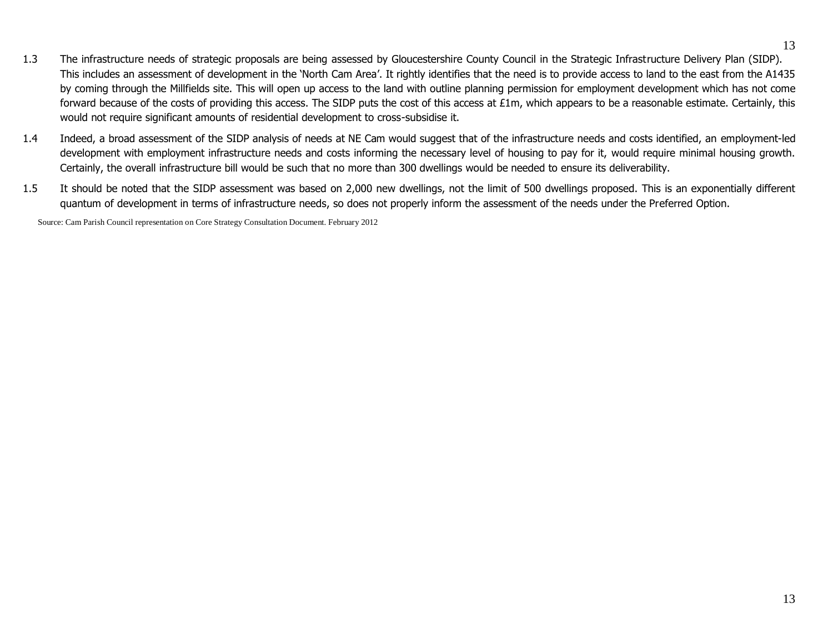- 1.3 The infrastructure needs of strategic proposals are being assessed by Gloucestershire County Council in the Strategic Infrastructure Delivery Plan (SIDP). This includes an assessment of development in the 'North Cam Area'. It rightly identifies that the need is to provide access to land to the east from the A1435 by coming through the Millfields site. This will open up access to the land with outline planning permission for employment development which has not come forward because of the costs of providing this access. The SIDP puts the cost of this access at £1m, which appears to be a reasonable estimate. Certainly, this would not require significant amounts of residential development to cross-subsidise it.
- 1.4 Indeed, a broad assessment of the SIDP analysis of needs at NE Cam would suggest that of the infrastructure needs and costs identified, an employment-led development with employment infrastructure needs and costs informing the necessary level of housing to pay for it, would require minimal housing growth. Certainly, the overall infrastructure bill would be such that no more than 300 dwellings would be needed to ensure its deliverability.
- 1.5 It should be noted that the SIDP assessment was based on 2,000 new dwellings, not the limit of 500 dwellings proposed. This is an exponentially different quantum of development in terms of infrastructure needs, so does not properly inform the assessment of the needs under the Preferred Option.

Source: Cam Parish Council representation on Core Strategy Consultation Document. February 2012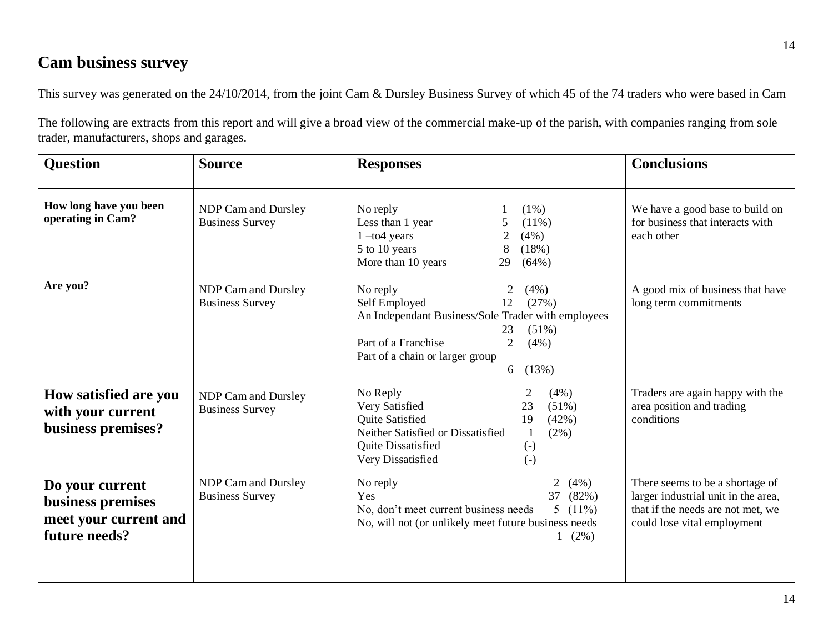# **Cam business survey**

This survey was generated on the 24/10/2014, from the joint Cam & Dursley Business Survey of which 45 of the 74 traders who were based in Cam

The following are extracts from this report and will give a broad view of the commercial make-up of the parish, with companies ranging from sole trader, manufacturers, shops and garages.

| <b>Question</b>                                                                | <b>Source</b>                                 | <b>Responses</b>                                                                                                                                                                                                                   | <b>Conclusions</b>                                                                                                                         |
|--------------------------------------------------------------------------------|-----------------------------------------------|------------------------------------------------------------------------------------------------------------------------------------------------------------------------------------------------------------------------------------|--------------------------------------------------------------------------------------------------------------------------------------------|
| How long have you been<br>operating in Cam?                                    | NDP Cam and Dursley<br><b>Business Survey</b> | $(1\%)$<br>No reply<br>$(11\%)$<br>Less than 1 year<br>(4%)<br>$1 -$ to $4$ years<br>5 to 10 years<br>(18%)<br>More than 10 years<br>29<br>(64%)                                                                                   | We have a good base to build on<br>for business that interacts with<br>each other                                                          |
| Are you?                                                                       | NDP Cam and Dursley<br><b>Business Survey</b> | No reply<br>(4%)<br>(27%)<br>Self Employed<br>12<br>An Independant Business/Sole Trader with employees<br>$(51\%)$<br>23<br>Part of a Franchise<br>$\overline{2}$<br>(4% )<br>Part of a chain or larger group<br>6 $(13%)$         | A good mix of business that have<br>long term commitments                                                                                  |
| <b>How satisfied are you</b><br>with your current<br>business premises?        | NDP Cam and Dursley<br><b>Business Survey</b> | No Reply<br>(4%)<br>2<br>Very Satisfied<br>$(51\%)$<br>23<br><b>Quite Satisfied</b><br>19<br>(42%)<br>Neither Satisfied or Dissatisfied<br>$(2\%)$<br><b>Quite Dissatisfied</b><br>$\left( -\right)$<br>Very Dissatisfied<br>$(-)$ | Traders are again happy with the<br>area position and trading<br>conditions                                                                |
| Do your current<br>business premises<br>meet your current and<br>future needs? | NDP Cam and Dursley<br><b>Business Survey</b> | No reply<br>$\overline{2}$<br>$(4\%)$<br>37<br>(82%)<br>Yes<br>No, don't meet current business needs<br>5 $(11\%)$<br>No, will not (or unlikely meet future business needs<br>$1(2\%)$                                             | There seems to be a shortage of<br>larger industrial unit in the area,<br>that if the needs are not met, we<br>could lose vital employment |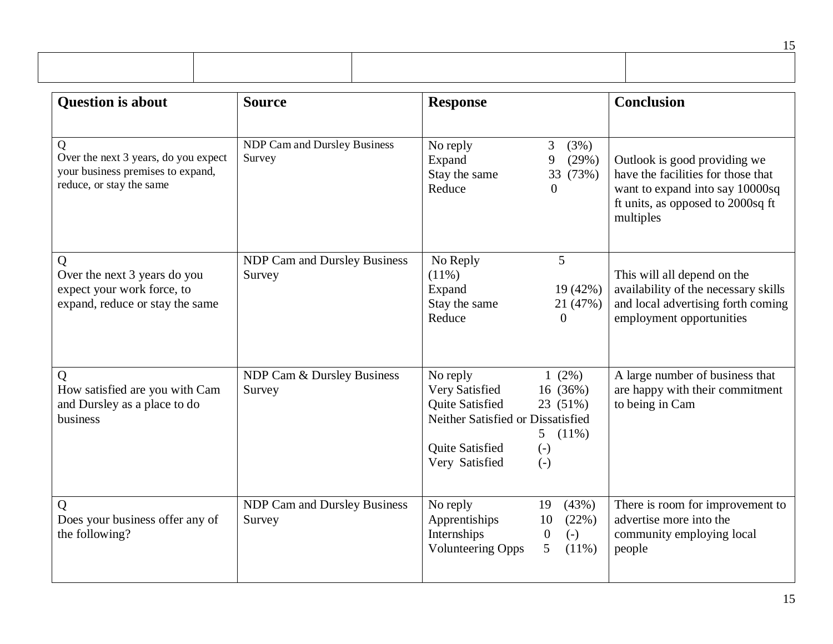| <b>Question is about</b>                                                                                   | <b>Source</b>                                 | <b>Response</b>                                                                                                                                                                                | <b>Conclusion</b>                                                                                                                                       |
|------------------------------------------------------------------------------------------------------------|-----------------------------------------------|------------------------------------------------------------------------------------------------------------------------------------------------------------------------------------------------|---------------------------------------------------------------------------------------------------------------------------------------------------------|
| Q<br>Over the next 3 years, do you expect<br>your business premises to expand,<br>reduce, or stay the same | <b>NDP Cam and Dursley Business</b><br>Survey | No reply<br>3<br>(3%)<br>9<br>(29%)<br>Expand<br>Stay the same<br>33 (73%)<br>Reduce<br>$\Omega$                                                                                               | Outlook is good providing we<br>have the facilities for those that<br>want to expand into say 10000sq<br>ft units, as opposed to 2000sq ft<br>multiples |
| Q<br>Over the next 3 years do you<br>expect your work force, to<br>expand, reduce or stay the same         | <b>NDP Cam and Dursley Business</b><br>Survey | 5<br>No Reply<br>$(11\%)$<br>19 (42%)<br>Expand<br>Stay the same<br>21 (47%)<br>Reduce<br>$\Omega$                                                                                             | This will all depend on the<br>availability of the necessary skills<br>and local advertising forth coming<br>employment opportunities                   |
| Q<br>How satisfied are you with Cam<br>and Dursley as a place to do<br>business                            | NDP Cam & Dursley Business<br>Survey          | No reply<br>$1(2\%)$<br>Very Satisfied<br>16 (36%)<br>Quite Satisfied<br>23 (51%)<br>Neither Satisfied or Dissatisfied<br>5<br>$(11\%)$<br>Quite Satisfied<br>$(-)$<br>Very Satisfied<br>$(-)$ | A large number of business that<br>are happy with their commitment<br>to being in Cam                                                                   |
| Q<br>Does your business offer any of<br>the following?                                                     | <b>NDP Cam and Dursley Business</b><br>Survey | No reply<br>(43%)<br>19<br>Apprentiships<br>10<br>(22%)<br>Internships<br>$(-)$<br>$\overline{0}$<br><b>Volunteering Opps</b><br>5<br>(11%)                                                    | There is room for improvement to<br>advertise more into the<br>community employing local<br>people                                                      |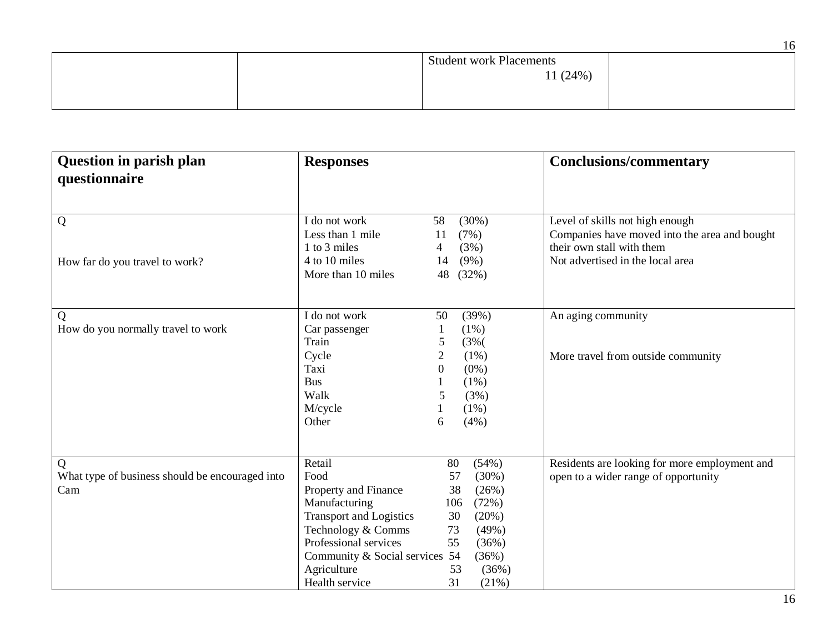|                                           | 16 |
|-------------------------------------------|----|
| <b>Student work Placements</b><br>11(24%) |    |

| <b>Question in parish plan</b>                  | <b>Responses</b>                              | <b>Conclusions/commentary</b>                 |
|-------------------------------------------------|-----------------------------------------------|-----------------------------------------------|
| questionnaire                                   |                                               |                                               |
|                                                 |                                               |                                               |
|                                                 |                                               |                                               |
| Q                                               | I do not work<br>(30%)<br>58                  | Level of skills not high enough               |
|                                                 | Less than 1 mile<br>(7%)<br>11                | Companies have moved into the area and bought |
|                                                 | 1 to 3 miles<br>(3%)<br>4                     | their own stall with them                     |
| How far do you travel to work?                  | $(9\%)$<br>4 to 10 miles<br>14                | Not advertised in the local area              |
|                                                 | More than 10 miles<br>48<br>(32%)             |                                               |
|                                                 |                                               |                                               |
|                                                 |                                               |                                               |
| Q                                               | I do not work<br>(39%)<br>50                  | An aging community                            |
| How do you normally travel to work              | (1%)<br>Car passenger<br>$\mathbf{1}$         |                                               |
|                                                 | Train<br>5<br>(3% (                           |                                               |
|                                                 | $\mathbf{2}$<br>Cycle<br>(1%)                 | More travel from outside community            |
|                                                 | Taxi<br>$\overline{0}$<br>$(0\%)$             |                                               |
|                                                 | <b>Bus</b><br>$(1\%)$                         |                                               |
|                                                 | Walk<br>5<br>(3%)                             |                                               |
|                                                 | M/cycle<br>(1%)                               |                                               |
|                                                 | Other<br>6<br>(4%)                            |                                               |
|                                                 |                                               |                                               |
|                                                 |                                               |                                               |
| Q                                               | Retail<br>(54%)<br>80                         | Residents are looking for more employment and |
| What type of business should be encouraged into | Food<br>(30%)<br>57                           | open to a wider range of opportunity          |
| Cam                                             | Property and Finance<br>38<br>(26%)           |                                               |
|                                                 | Manufacturing<br>106<br>(72%)                 |                                               |
|                                                 | <b>Transport and Logistics</b><br>30<br>(20%) |                                               |
|                                                 | Technology & Comms<br>73<br>(49%)             |                                               |
|                                                 | Professional services<br>55<br>(36%)          |                                               |
|                                                 | Community & Social services 54<br>(36%)       |                                               |
|                                                 | Agriculture<br>53<br>(36%)                    |                                               |
|                                                 | Health service<br>31<br>(21%)                 |                                               |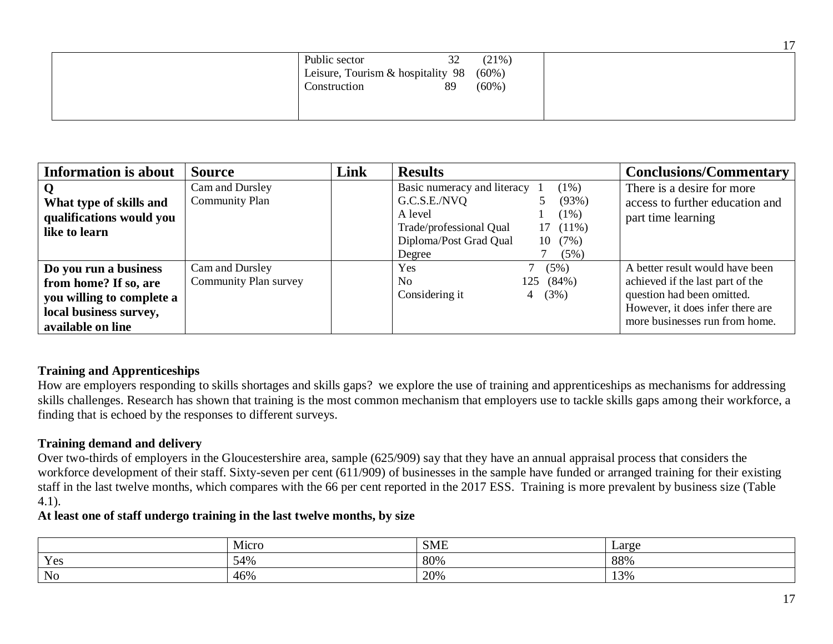| Public sector                     | 32 | (21%)    |
|-----------------------------------|----|----------|
|                                   |    |          |
| Leisure, Tourism & hospitality 98 |    | $(60\%)$ |
|                                   |    |          |
| Construction                      | 89 | $(60\%)$ |
|                                   |    |          |
|                                   |    |          |
|                                   |    |          |
|                                   |    |          |
|                                   |    |          |

| <b>Information is about</b>                                                                                                | <b>Source</b>                            | Link | <b>Results</b>                                                                                                                                                                       | <b>Conclusions/Commentary</b>                                                                                                                                           |
|----------------------------------------------------------------------------------------------------------------------------|------------------------------------------|------|--------------------------------------------------------------------------------------------------------------------------------------------------------------------------------------|-------------------------------------------------------------------------------------------------------------------------------------------------------------------------|
| What type of skills and<br>qualifications would you<br>like to learn                                                       | Cam and Dursley<br><b>Community Plan</b> |      | Basic numeracy and literacy<br>$(1\%)$<br>G.C.S.E./NVQ<br>(93%)<br>A level<br>$(1\%)$<br>Trade/professional Qual<br>$17(11\%)$<br>Diploma/Post Grad Qual<br>10(7%)<br>(5%)<br>Degree | There is a desire for more<br>access to further education and<br>part time learning                                                                                     |
| Do you run a business<br>from home? If so, are<br>you willing to complete a<br>local business survey,<br>available on line | Cam and Dursley<br>Community Plan survey |      | <b>Yes</b><br>(5%)<br>(84%)<br>No<br>125<br>Considering it<br>(3%)<br>4                                                                                                              | A better result would have been<br>achieved if the last part of the<br>question had been omitted.<br>However, it does infer there are<br>more businesses run from home. |

## **Training and Apprenticeships**

How are employers responding to skills shortages and skills gaps? we explore the use of training and apprenticeships as mechanisms for addressing skills challenges. Research has shown that training is the most common mechanism that employers use to tackle skills gaps among their workforce, a finding that is echoed by the responses to different surveys.

## **Training demand and delivery**

Over two-thirds of employers in the Gloucestershire area, sample (625/909) say that they have an annual appraisal process that considers the workforce development of their staff. Sixty-seven per cent (611/909) of businesses in the sample have funded or arranged training for their existing staff in the last twelve months, which compares with the 66 per cent reported in the 2017 ESS. Training is more prevalent by business size (Table 4.1).

### **At least one of staff undergo training in the last twelve months, by size**

|                                           | M1CTC | $\sim$ $\sim$<br><b>SML</b> | $L\text{arg}\epsilon$ |
|-------------------------------------------|-------|-----------------------------|-----------------------|
| $\mathbf{V}$<br>$\sim$ $\sim$ $\sim$<br>ັ | 54%   | 80%                         | 88%                   |
| No                                        | 46%   | 20%                         | 13%                   |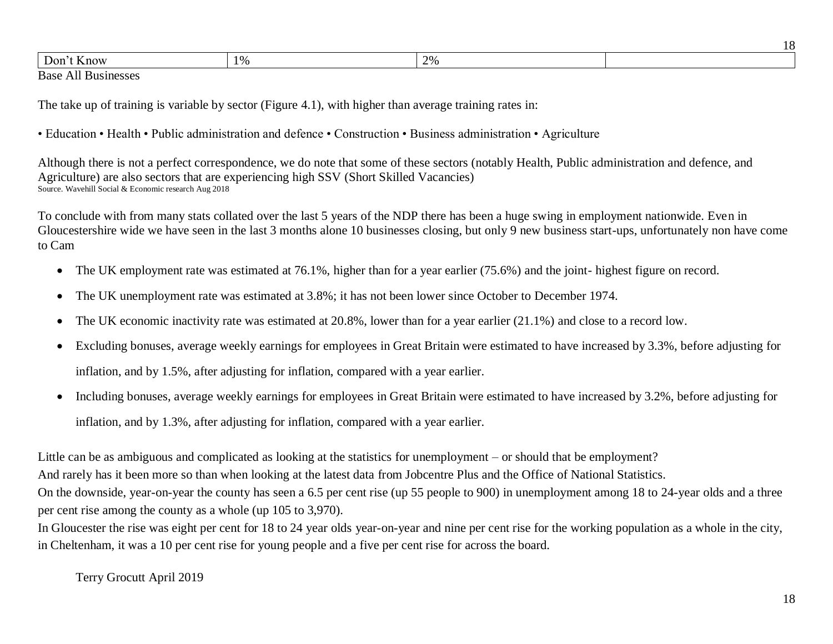| now | 70 D | 20 <sub>4</sub> |  |
|-----|------|-----------------|--|
|     |      |                 |  |

Base All Businesses

The take up of training is variable by sector (Figure 4.1), with higher than average training rates in:

• Education • Health • Public administration and defence • Construction • Business administration • Agriculture

Although there is not a perfect correspondence, we do note that some of these sectors (notably Health, Public administration and defence, and Agriculture) are also sectors that are experiencing high SSV (Short Skilled Vacancies) Source. Wavehill Social & Economic research Aug 2018

To conclude with from many stats collated over the last 5 years of the NDP there has been a huge swing in employment nationwide. Even in Gloucestershire wide we have seen in the last 3 months alone 10 businesses closing, but only 9 new business start-ups, unfortunately non have come to Cam

- The UK employment rate was estimated at 76.1%, higher than for a year earlier (75.6%) and the joint- highest figure on record.
- The UK unemployment rate was estimated at 3.8%; it has not been lower since October to December 1974.
- The UK economic inactivity rate was estimated at 20.8%, lower than for a year earlier (21.1%) and close to a record low.
- Excluding bonuses, average weekly earnings for employees in Great Britain were estimated to have increased by 3.3%, before adjusting for inflation, and by 1.5%, after adjusting for inflation, compared with a year earlier.
- Including bonuses, average weekly earnings for employees in Great Britain were estimated to have increased by 3.2%, before adjusting for inflation, and by 1.3%, after adjusting for inflation, compared with a year earlier.

Little can be as ambiguous and complicated as looking at the statistics for unemployment – or should that be employment?

And rarely has it been more so than when looking at the latest data from Jobcentre Plus and the Office of National Statistics.

On the downside, year-on-year the county has seen a 6.5 per cent rise (up 55 people to 900) in unemployment among 18 to 24-year olds and a three per cent rise among the county as a whole (up 105 to 3,970).

In Gloucester the rise was eight per cent for 18 to 24 year olds year-on-year and nine per cent rise for the working population as a whole in the city, in Cheltenham, it was a 10 per cent rise for young people and a five per cent rise for across the board.

Terry Grocutt April 2019